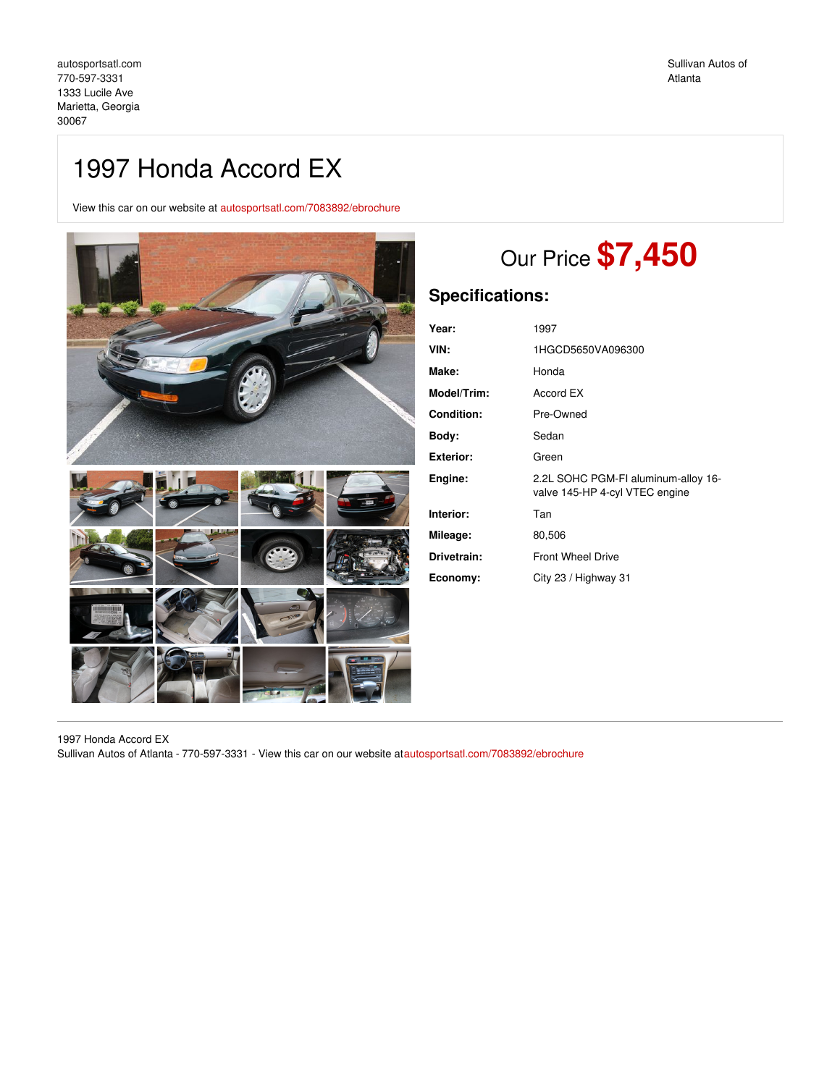## 1997 Honda Accord EX

View this car on our website at [autosportsatl.com/7083892/ebrochure](https://autosportsatl.com/vehicle/7083892/1997-honda-accord-ex-marietta-georgia-30067/7083892/ebrochure)



# Our Price **\$7,450**

## **Specifications:**

| Year:             | 1997                                                                  |
|-------------------|-----------------------------------------------------------------------|
| VIN:              | 1HGCD5650VA096300                                                     |
| Make:             | Honda                                                                 |
| Model/Trim:       | Accord EX                                                             |
| <b>Condition:</b> | Pre-Owned                                                             |
| Body:             | Sedan                                                                 |
| <b>Exterior:</b>  | Green                                                                 |
| Engine:           | 2.2L SOHC PGM-FI aluminum-alloy 16-<br>valve 145-HP 4-cyl VTEC engine |
| Interior:         | Tan                                                                   |
| Mileage:          | 80,506                                                                |
| Drivetrain:       | <b>Front Wheel Drive</b>                                              |
| Economy:          | City 23 / Highway 31                                                  |

1997 Honda Accord EX Sullivan Autos of Atlanta - 770-597-3331 - View this car on our website a[tautosportsatl.com/7083892/ebrochure](https://autosportsatl.com/vehicle/7083892/1997-honda-accord-ex-marietta-georgia-30067/7083892/ebrochure)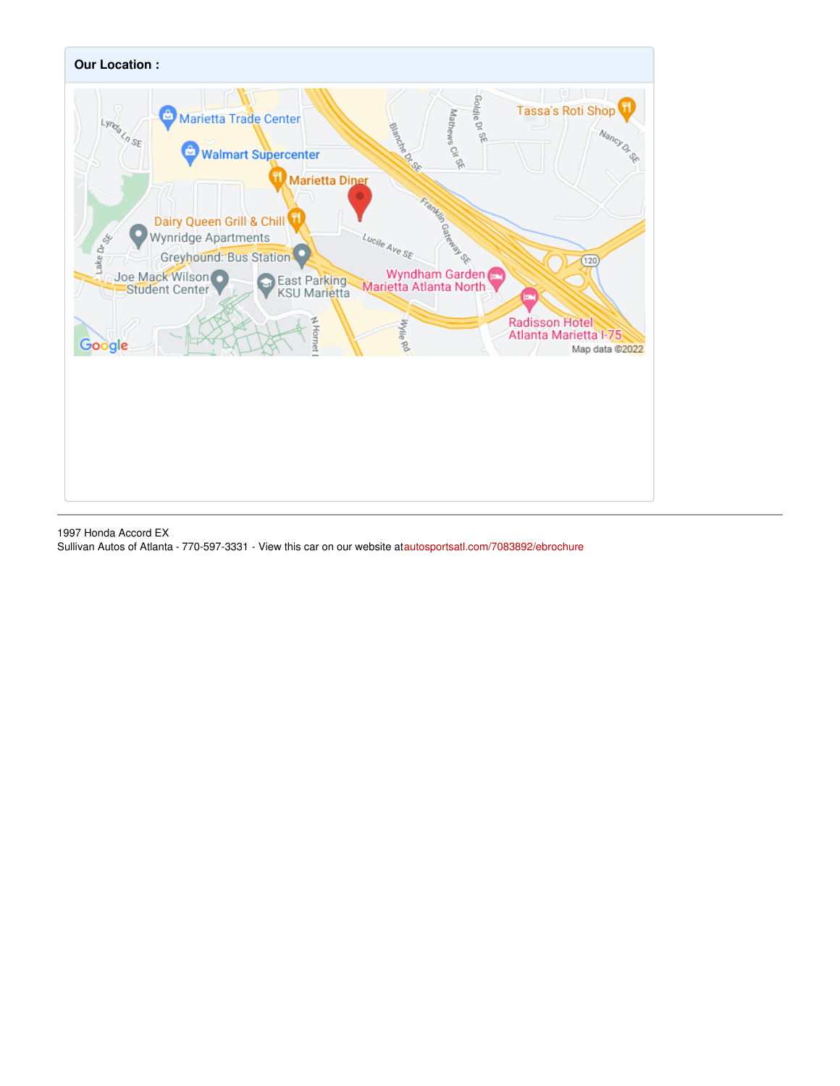

1997 Honda Accord EX Sullivan Autos of Atlanta - 770-597-3331 - View this car on our website a[tautosportsatl.com/7083892/ebrochure](https://autosportsatl.com/vehicle/7083892/1997-honda-accord-ex-marietta-georgia-30067/7083892/ebrochure)